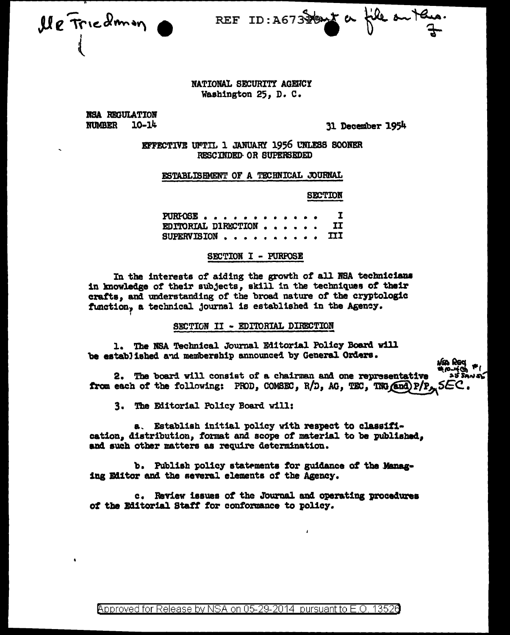Me Triedmon

REF ID: A673 POINT a file on the.

## NATIONAL SECURITY AGENCY Washington 25, D. C.

**NSA REGULATION NUMBER**  $10 - 14$ 

31 December 1954

EFFECTIVE UNTIL 1 JANUARY 1956 UNLESS SOONER RESCINDED OR SUPERSEDED

#### ESTABLISHMENT OF A TECHNICAL JOURNAL

**SECTION** 

I EDITORIAL DIRECTION . . . **TT III** SUPERVISION........

#### SECTION I - PURPOSE

In the interests of aiding the growth of all NSA technicians in knowledge of their subjects, skill in the techniques of their crafts, and understanding of the broad nature of the cryptologic function, a technical journal is established in the Agency.

### SECTION II - EDITORIAL DIRECTION

1. The NSA Technical Journal Editorial Policy Board will be established and membership announced by General Orders.

2. The board will consist of a chairman and one representative from each of the following: PROD, COMSEC, R/D, AG, TEC, TNG and P/P, SE

 $\overline{1}$ 

3. The Editorial Policy Board will:

a. Establish initial policy with respect to classification, distribution, format and scope of material to be published, and such other matters as require determination.

b. Publish policy statements for guidance of the Managing Editor and the several elements of the Agency.

c. Review issues of the Journal and operating procedures of the Editorial Staff for conformance to policy.